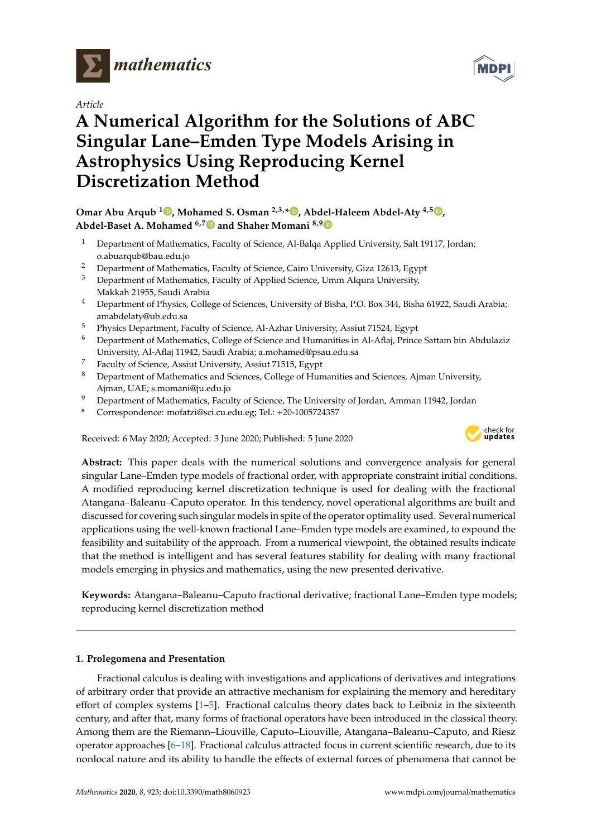

*Article*

# **A Numerical Algorithm for the Solutions of ABC Singular Lane–Emden Type Models Arising in Astrophysics Using Reproducing Kernel Discretization Method**

## **Omar Abu Arqub <sup>1</sup> , Mohamed S. Osman 2,3,\* , Abdel-Haleem Abdel-Aty 4,5 , Abdel-Baset A. Mohamed 6,7 and Shaher Momani 8,9**

- <sup>1</sup> Department of Mathematics, Faculty of Science, Al-Balqa Applied University, Salt 19117, Jordan; o.abuarqub@bau.edu.jo
- <sup>2</sup> Department of Mathematics, Faculty of Science, Cairo University, Giza 12613, Egypt
- <sup>3</sup> Department of Mathematics, Faculty of Applied Science, Umm Alqura University, Makkah 21955, Saudi Arabia
- <sup>4</sup> Department of Physics, College of Sciences, University of Bisha, P.O. Box 344, Bisha 61922, Saudi Arabia; amabdelaty@ub.edu.sa
- <sup>5</sup> Physics Department, Faculty of Science, Al-Azhar University, Assiut 71524, Egypt
- <sup>6</sup> Department of Mathematics, College of Science and Humanities in Al-Aflaj, Prince Sattam bin Abdulaziz University, Al-Aflaj 11942, Saudi Arabia; a.mohamed@psau.edu.sa
- $\frac{7}{8}$  Faculty of Science, Assiut University, Assiut 71515, Egypt  $\frac{8}{8}$  Department of Mathematics and Sciences, Colloge of Hun
- <sup>8</sup> Department of Mathematics and Sciences, College of Humanities and Sciences, Ajman University, Ajman, UAE; s.momani@ju.edu.jo
- <sup>9</sup> Department of Mathematics, Faculty of Science, The University of Jordan, Amman 11942, Jordan
- **\*** Correspondence: mofatzi@sci.cu.edu.eg; Tel.: +20-1005724357

Received: 6 May 2020; Accepted: 3 June 2020; Published: 5 June 2020



**Abstract:** This paper deals with the numerical solutions and convergence analysis for general singular Lane–Emden type models of fractional order, with appropriate constraint initial conditions. A modified reproducing kernel discretization technique is used for dealing with the fractional Atangana–Baleanu–Caputo operator. In this tendency, novel operational algorithms are built and discussed for covering such singular models in spite of the operator optimality used. Several numerical applications using the well-known fractional Lane–Emden type models are examined, to expound the feasibility and suitability of the approach. From a numerical viewpoint, the obtained results indicate that the method is intelligent and has several features stability for dealing with many fractional models emerging in physics and mathematics, using the new presented derivative.

**Keywords:** Atangana–Baleanu–Caputo fractional derivative; fractional Lane–Emden type models; reproducing kernel discretization method

## **1. Prolegomena and Presentation**

Fractional calculus is dealing with investigations and applications of derivatives and integrations of arbitrary order that provide an attractive mechanism for explaining the memory and hereditary effort of complex systems [1–5]. Fractional calculus theory dates back to Leibniz in the sixteenth century, and after that, many forms of fractional operators have been introduced in the classical theory. Among them are the Riemann–Liouville, Caputo–Liouville, Atangana–Baleanu–Caputo, and Riesz operator approaches [6–18]. Fractional calculus attracted focus in current scientific research, due to its nonlocal nature and its ability to handle the effects of external forces of phenomena that cannot be

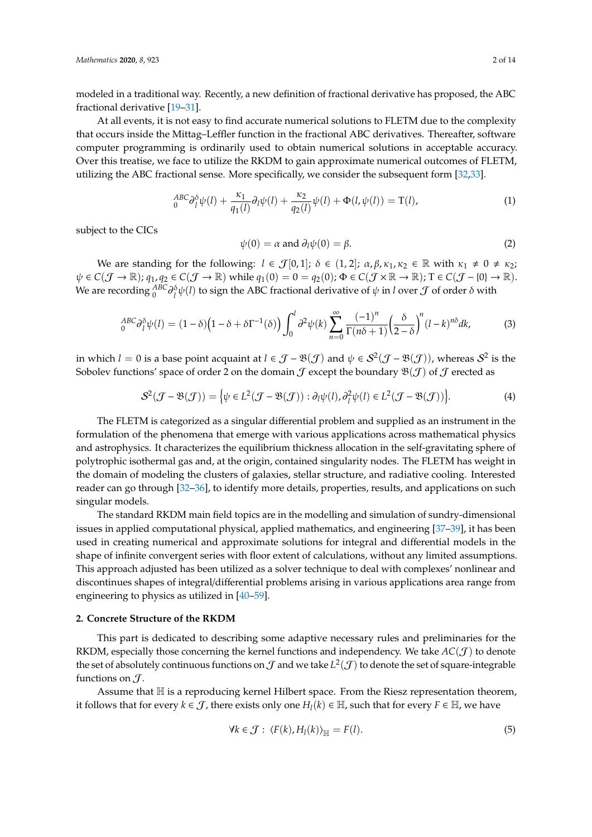modeled in a traditional way. Recently, a new definition of fractional derivative has proposed, the ABC fractional derivative [19–31].

At all events, it is not easy to find accurate numerical solutions to FLETM due to the complexity that occurs inside the Mittag–Leffler function in the fractional ABC derivatives. Thereafter, software computer programming is ordinarily used to obtain numerical solutions in acceptable accuracy. Over this treatise, we face to utilize the RKDM to gain approximate numerical outcomes of FLETM, utilizing the ABC fractional sense. More specifically, we consider the subsequent form [32,33].

$$
{}_{0}^{ABC}\partial_{l}^{\delta}\psi(l) + \frac{\kappa_{1}}{q_{1}(l)}\partial_{l}\psi(l) + \frac{\kappa_{2}}{q_{2}(l)}\psi(l) + \Phi(l, \psi(l)) = \mathcal{T}(l), \tag{1}
$$

subject to the CICs

$$
\psi(0) = \alpha \text{ and } \partial_l \psi(0) = \beta. \tag{2}
$$

We are standing for the following:  $l \in \mathcal{J}[0,1]$ ;  $\delta \in (1,2]$ ;  $\alpha, \beta, \kappa_1, \kappa_2 \in \mathbb{R}$  with  $\kappa_1 \neq 0 \neq \kappa_2$ ;  $\psi \in C(\mathcal{J} \to \mathbb{R})$ ;  $q_1, q_2 \in C(\mathcal{J} \to \mathbb{R})$  while  $q_1(0) = 0 = q_2(0)$ ;  $\Phi \in C(\mathcal{J} \times \mathbb{R} \to \mathbb{R})$ ; T  $\in C(\mathcal{J} - \{0\} \to \mathbb{R})$ . We are recording  ${}_0^{ABC}\partial{}_l^{\delta}\psi(l)$  to sign the ABC fractional derivative of  $\psi$  in *l* over  ${\cal J}$  of order  $\delta$  with

$$
{}_{0}^{ABC}\partial_{l}^{\delta}\psi(l)=(1-\delta)\left(1-\delta+\delta\Gamma^{-1}(\delta)\right)\int_{0}^{l}\partial^{2}\psi(k)\sum_{n=0}^{\infty}\frac{\left(-1\right)^{n}}{\Gamma(n\delta+1)}\left(\frac{\delta}{2-\delta}\right)^{n}\left(l-k\right)^{n\delta}dk,\tag{3}
$$

in which  $l=0$  is a base point acquaint at  $l \in \mathcal{J}-\mathfrak{B}(\mathcal{J})$  and  $\psi \in \mathcal{S}^2(\mathcal{J}-\mathfrak{B}(\mathcal{J}))$ , whereas  $\mathcal{S}^2$  is the Sobolev functions' space of order 2 on the domain  $\mathcal J$  except the boundary  $\mathfrak{B}(\mathcal J)$  of  $\mathcal J$  erected as

$$
S^{2}(\mathcal{J} - \mathfrak{B}(\mathcal{J})) = \left\{ \psi \in L^{2}(\mathcal{J} - \mathfrak{B}(\mathcal{J})) : \partial_{l}\psi(l), \partial_{l}^{2}\psi(l) \in L^{2}(\mathcal{J} - \mathfrak{B}(\mathcal{J})) \right\}.
$$
 (4)

The FLETM is categorized as a singular differential problem and supplied as an instrument in the formulation of the phenomena that emerge with various applications across mathematical physics and astrophysics. It characterizes the equilibrium thickness allocation in the self-gravitating sphere of polytrophic isothermal gas and, at the origin, contained singularity nodes. The FLETM has weight in the domain of modeling the clusters of galaxies, stellar structure, and radiative cooling. Interested reader can go through [32–36], to identify more details, properties, results, and applications on such singular models.

The standard RKDM main field topics are in the modelling and simulation of sundry-dimensional issues in applied computational physical, applied mathematics, and engineering [37–39], it has been used in creating numerical and approximate solutions for integral and differential models in the shape of infinite convergent series with floor extent of calculations, without any limited assumptions. This approach adjusted has been utilized as a solver technique to deal with complexes' nonlinear and discontinues shapes of integral/differential problems arising in various applications area range from engineering to physics as utilized in [40–59].

#### **2. Concrete Structure of the RKDM**

This part is dedicated to describing some adaptive necessary rules and preliminaries for the RKDM, especially those concerning the kernel functions and independency. We take  $AC(\mathcal{J})$  to denote the set of absolutely continuous functions on  $\mathcal J$  and we take  $L^2(\mathcal J)$  to denote the set of square-integrable functions on  $\mathcal{J}$ .

Assume that  $H$  is a reproducing kernel Hilbert space. From the Riesz representation theorem, it follows that for every  $k \in \mathcal{J}$ , there exists only one  $H_l(k) \in \mathbb{H}$ , such that for every  $F \in \mathbb{H}$ , we have

$$
\forall k \in \mathcal{J}: \langle F(k), H_l(k) \rangle_{\mathbb{H}} = F(l). \tag{5}
$$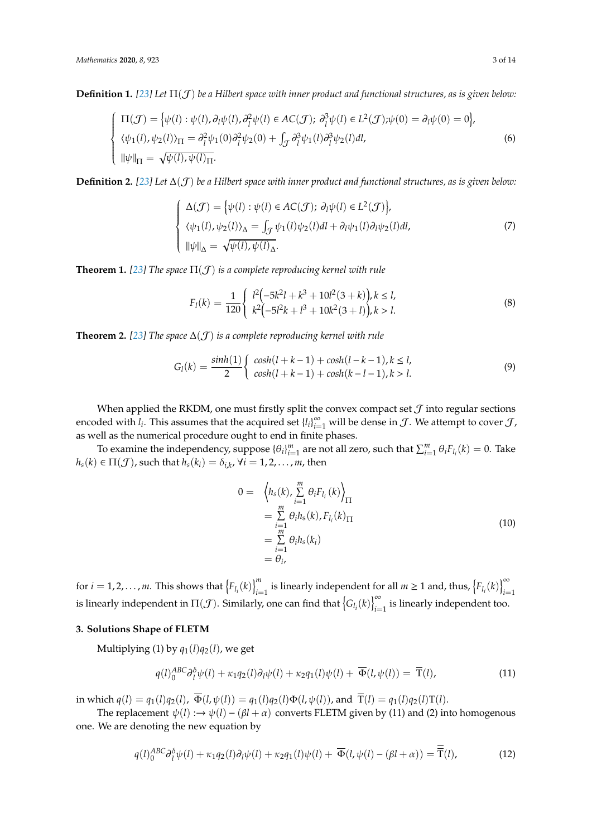**Definition 1.** *[23] Let* Π(J) *be a Hilbert space with inner product and functional structures, as is given below:*

$$
\begin{cases}\n\Pi(\mathcal{J}) = \{ \psi(l) : \psi(l), \partial_l \psi(l), \partial_l^2 \psi(l) \in AC(\mathcal{J}); \ \partial_l^3 \psi(l) \in L^2(\mathcal{J}); \psi(0) = \partial_l \psi(0) = 0 \}, \\
\langle \psi_1(l), \psi_2(l) \rangle_{\Pi} = \partial_l^2 \psi_1(0) \partial_l^2 \psi_2(0) + \int_{\mathcal{J}} \partial_l^3 \psi_1(l) \partial_l^3 \psi_2(l) dl, \\
\|\psi\|_{\Pi} = \sqrt{\psi(l)}, \psi(l)_{\Pi}.\n\end{cases} \tag{6}
$$

**Definition 2.** [23] Let  $\Delta(f)$  be a Hilbert space with inner product and functional structures, as is given below:

$$
\begin{cases}\n\Delta(\mathcal{J}) = \{ \psi(l) : \psi(l) \in AC(\mathcal{J}); \partial_l \psi(l) \in L^2(\mathcal{J}) \}, \\
\langle \psi_1(l), \psi_2(l) \rangle_{\Delta} = \int_{\mathcal{J}} \psi_1(l) \psi_2(l) dl + \partial_l \psi_1(l) \partial_l \psi_2(l) dl, \\
\|\psi\|_{\Delta} = \sqrt{\psi(l), \psi(l)_{\Delta}}.\n\end{cases} (7)
$$

**Theorem 1.** [23] The space  $\Pi(\mathcal{J})$  is a complete reproducing kernel with rule

$$
F_l(k) = \frac{1}{120} \begin{cases} l^2(-5k^2l + k^3 + 10l^2(3+k)), k \le l, \\ k^2(-5l^2k + l^3 + 10k^2(3+l)), k > l. \end{cases}
$$
(8)

**Theorem 2.** [23] The space  $\Delta(\mathcal{J})$  *is a complete reproducing kernel with rule* 

$$
G_l(k) = \frac{\sinh(1)}{2} \begin{cases} \cosh(l+k-1) + \cosh(l-k-1), k \le l, \\ \cosh(l+k-1) + \cosh(k-l-1), k > l. \end{cases}
$$
(9)

When applied the RKDM, one must firstly split the convex compact set  $\mathcal J$  into regular sections encoded with  $l_i$ . This assumes that the acquired set  $\{l_i\}_{i=1}^{\infty}$  will be dense in  $\mathcal J$ . We attempt to cover  $\mathcal J$ , as well as the numerical procedure ought to end in finite phases.

To examine the independency, suppose  $\{\theta_i\}_{i=1}^m$  are not all zero, such that  $\sum_{i=1}^m \theta_i F_{l_i}(k) = 0$ . Take  $h_s(k) \in \Pi(\mathcal{J})$ , such that  $h_s(k_i) = \delta_{i,k}$ ,  $\forall i = 1, 2, ..., m$ , then

$$
0 = \left\langle h_s(k), \sum_{i=1}^m \theta_i F_{l_i}(k) \right\rangle_{\Pi}
$$
  
\n
$$
= \sum_{i=1}^m \theta_i h_s(k), F_{l_i}(k)_{\Pi}
$$
  
\n
$$
= \sum_{i=1}^m \theta_i h_s(k_i)
$$
  
\n
$$
= \theta_i,
$$
\n(10)

for  $i = 1, 2, ..., m$ . This shows that  $\{F_{l_i}(k)\}_{i=1}^m$  is linearly independent for all  $m \ge 1$  and, thus,  $\{F_{l_i}(k)\}_{i=1}^{\infty}$  is linearly independent in  $\Pi(\mathcal{J})$ . Similarly, one can find that  $\{G_{l_i}(k)\}_{i=1}^{\infty}$  is li

#### **3. Solutions Shape of FLETM**

Multiplying (1) by  $q_1(l)q_2(l)$ , we get

$$
q(l)_0^{ABC} \partial_l^{\delta} \psi(l) + \kappa_1 q_2(l) \partial_l \psi(l) + \kappa_2 q_1(l) \psi(l) + \overline{\Phi}(l, \psi(l)) = \overline{T}(l), \tag{11}
$$

in which  $q(l) = q_1(l)q_2(l)$ ,  $\overline{\Phi}(l, \psi(l)) = q_1(l)q_2(l)\Phi(l, \psi(l))$ , and  $\overline{T}(l) = q_1(l)q_2(l)T(l)$ .

The replacement  $\psi(l) \rightarrow \psi(l) - (\beta l + \alpha)$  converts FLETM given by (11) and (2) into homogenous one. We are denoting the new equation by

$$
q(l)_0^{ABC} \partial_l^{\delta} \psi(l) + \kappa_1 q_2(l) \partial_l \psi(l) + \kappa_2 q_1(l) \psi(l) + \overline{\Phi}(l, \psi(l) - (\beta l + \alpha)) = \overline{T}(l),
$$
\n(12)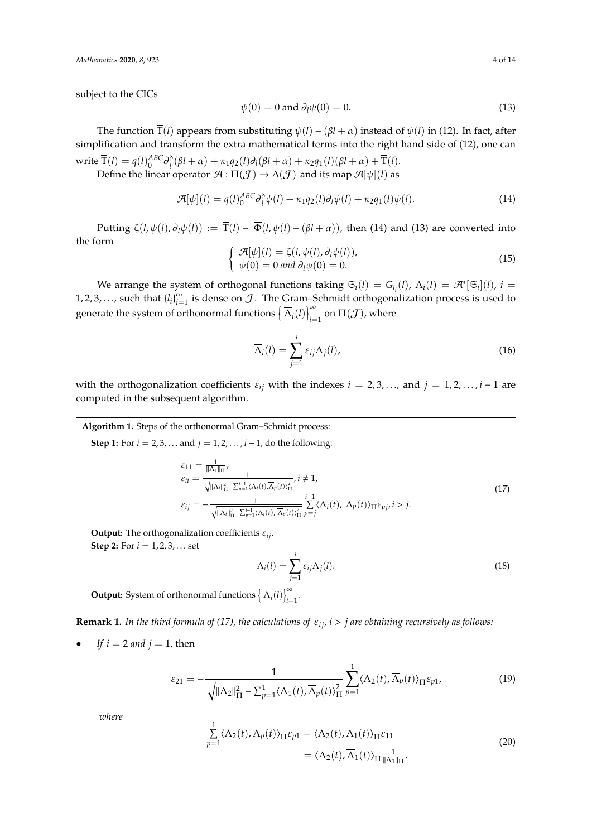subject to the CICs

$$
\psi(0) = 0 \text{ and } \partial_l \psi(0) = 0. \tag{13}
$$

The function  $\overline{T}(l)$  appears from substituting  $\psi(l) - (\beta l + \alpha)$  instead of  $\psi(l)$  in (12). In fact, after simplification and transform the extra mathematical terms into the right hand side of (12), one can  $\text{write } \overline{T}(l) = q(l)_{0}^{ABC} \partial_{l}^{\delta}(\beta l + \alpha) + \kappa_{1}q_{2}(l) \partial_{l}(\beta l + \alpha) + \kappa_{2}q_{1}(l)(\beta l + \alpha) + \overline{T}(l).$ 

Define the linear operator  $\mathcal{A} : \Pi(\mathcal{J}) \to \Delta(\mathcal{J})$  and its map  $\mathcal{A}[\psi](l)$  as

$$
\mathcal{A}[\psi](l) = q(l)_0^{ABC} \partial_l^{\delta} \psi(l) + \kappa_1 q_2(l) \partial_l \psi(l) + \kappa_2 q_1(l) \psi(l). \tag{14}
$$

Putting  $\zeta(l, \psi(l), \partial_l\psi(l)) := \overline{T}(l) - \overline{\Phi}(l, \psi(l) - (\beta l + \alpha))$ , then (14) and (13) are converted into the form A[ψ](*l*) = ζ(*l*,ψ(*l*), ∂*l*ψ(*l*)),

$$
\begin{cases}\n\mathcal{A}[\psi](l) = \zeta(l, \psi(l), \partial_l \psi(l)), \\
\psi(0) = 0 \text{ and } \partial_l \psi(0) = 0.\n\end{cases}
$$
\n(15)

We arrange the system of orthogonal functions taking  $\mathfrak{S}_i(l) = G_{l_i}(l)$ ,  $\Lambda_i(l) = \mathfrak{R}^*[\mathfrak{S}_i](l)$ ,  $i =$ 1, 2, 3, . . ., such that  ${l_i}_{i=1}^{\infty}$  is dense on  $\mathcal{J}$ . The Gram–Schmidt orthogonalization process is used to generate the system of orthonormal functions  $\left\{ \overline{\Lambda}_{i}(l)\right\} _{i=1}^{\infty}$  on  $\Pi(\mathcal{J})$ , where

$$
\overline{\Lambda}_i(l) = \sum_{j=1}^i \varepsilon_{ij} \Lambda_j(l), \qquad (16)
$$

with the orthogonalization coefficients  $\varepsilon_{ij}$  with the indexes  $i = 2, 3, \dots$ , and  $j = 1, 2, \dots, i - 1$  are computed in the subsequent algorithm.

**Algorithm 1.** Steps of the orthonormal Gram–Schmidt process:

**Step 1:** For  $i = 2, 3, ...$  and  $j = 1, 2, ..., i - 1$ , do the following:

$$
\varepsilon_{11} = \frac{1}{\|\Lambda_1\|_{\Pi}},
$$
\n
$$
\varepsilon_{ii} = \frac{1}{\sqrt{\|\Lambda_i\|_{\Pi}^2 - \sum_{p=1}^{i-1} \langle \Lambda_i(t), \overline{\Lambda}_p(t) \rangle_{\Pi}^2}}, i \neq 1,
$$
\n
$$
\varepsilon_{ij} = -\frac{1}{\sqrt{\|\Lambda_i\|_{\Pi}^2 - \sum_{p=1}^{i-1} \langle \Lambda_i(t), \overline{\Lambda}_p(t) \rangle_{\Pi}^2}} \sum_{p=j}^{i-1} \langle \Lambda_i(t), \overline{\Lambda}_p(t) \rangle_{\Pi} \varepsilon_{pj}, i > j.
$$
\n(17)

**Output:** The orthogonalization coefficients ε*ij*. **Step 2:** For  $i = 1, 2, 3, ...$  set

$$
\overline{\Lambda}_i(l) = \sum_{j=1}^i \varepsilon_{ij} \Lambda_j(l). \tag{18}
$$

**Output:** System of orthonormal functions  $\left\{ \overline{\Lambda}_{i}(l) \right\}_{i=1}^{\infty}$ .

**Remark 1.** *In the third formula of (17), the calculations of*  $\varepsilon_{ij}$ *, i > j are obtaining recursively as follows:* 

*If*  $i = 2$  *and*  $j = 1$ , then

$$
\varepsilon_{21} = -\frac{1}{\sqrt{\|\Lambda_2\|_{\Pi}^2 - \sum_{p=1}^1 \langle \Lambda_1(t), \overline{\Lambda}_p(t) \rangle_{\Pi}^2}} \sum_{p=1}^1 \langle \Lambda_2(t), \overline{\Lambda}_p(t) \rangle_{\Pi} \varepsilon_{p1},\tag{19}
$$

*where*

$$
\sum_{p=1}^{1} \langle \Lambda_2(t), \overline{\Lambda}_p(t) \rangle_{\Pi} \varepsilon_{p1} = \langle \Lambda_2(t), \overline{\Lambda}_1(t) \rangle_{\Pi} \varepsilon_{11}
$$
\n
$$
= \langle \Lambda_2(t), \overline{\Lambda}_1(t) \rangle_{\Pi} \frac{1}{\|\Lambda_1\|_{\Pi}}.
$$
\n(20)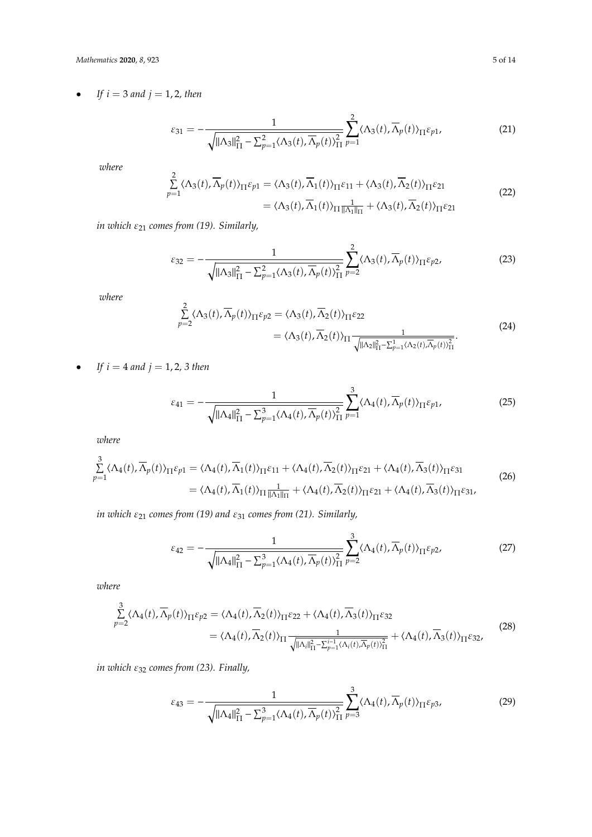*Mathematics* **2020**, *8*, 923 5 of 14

• *If*  $i = 3$  *and*  $j = 1, 2$ *, then* 

$$
\varepsilon_{31} = -\frac{1}{\sqrt{\|\Lambda_3\|_{\Pi}^2 - \sum_{p=1}^2 \langle \Lambda_3(t), \overline{\Lambda}_p(t) \rangle_{\Pi}^2}} \sum_{p=1}^2 \langle \Lambda_3(t), \overline{\Lambda}_p(t) \rangle_{\Pi} \varepsilon_{p1},\tag{21}
$$

*where*

$$
\sum_{p=1}^{2} \langle \Lambda_3(t), \overline{\Lambda}_p(t) \rangle_{\Pi} \varepsilon_{p1} = \langle \Lambda_3(t), \overline{\Lambda}_1(t) \rangle_{\Pi} \varepsilon_{11} + \langle \Lambda_3(t), \overline{\Lambda}_2(t) \rangle_{\Pi} \varepsilon_{21}
$$
\n
$$
= \langle \Lambda_3(t), \overline{\Lambda}_1(t) \rangle_{\Pi} \frac{1}{\|\Lambda_1\|_{\Pi}} + \langle \Lambda_3(t), \overline{\Lambda}_2(t) \rangle_{\Pi} \varepsilon_{21}
$$
\n(22)

*in which*  $ε_{21}$  *comes from (19). Similarly,* 

$$
\varepsilon_{32} = -\frac{1}{\sqrt{\|\Lambda_3\|_{\Pi}^2 - \sum_{p=1}^2 \langle \Lambda_3(t), \overline{\Lambda}_p(t) \rangle_{\Pi}^2}} \sum_{p=2}^2 \langle \Lambda_3(t), \overline{\Lambda}_p(t) \rangle_{\Pi} \varepsilon_{p2},
$$
\n(23)

*where*

$$
\sum_{p=2}^{2} \langle \Lambda_3(t), \overline{\Lambda}_p(t) \rangle_{\Pi} \varepsilon_{p2} = \langle \Lambda_3(t), \overline{\Lambda}_2(t) \rangle_{\Pi} \varepsilon_{22}
$$
\n
$$
= \langle \Lambda_3(t), \overline{\Lambda}_2(t) \rangle_{\Pi} \frac{1}{\sqrt{\|\Lambda_2\|_{\Pi}^2 - \sum_{p=1}^1 \langle \Lambda_2(t), \overline{\Lambda}_p(t) \rangle_{\Pi}^2}}.
$$
\n(24)

• *If*  $i = 4$  *and*  $j = 1, 2, 3$  *then* 

$$
\varepsilon_{41} = -\frac{1}{\sqrt{\|\Lambda_4\|_{\Pi}^2 - \sum_{p=1}^3 \langle \Lambda_4(t), \overline{\Lambda}_p(t) \rangle_{\Pi}^2}} \sum_{p=1}^3 \langle \Lambda_4(t), \overline{\Lambda}_p(t) \rangle_{\Pi} \varepsilon_{p1},
$$
\n(25)

*where*

$$
\sum_{p=1}^{3} \langle \Lambda_{4}(t), \overline{\Lambda}_{p}(t) \rangle_{\Pi} \varepsilon_{p1} = \langle \Lambda_{4}(t), \overline{\Lambda}_{1}(t) \rangle_{\Pi} \varepsilon_{11} + \langle \Lambda_{4}(t), \overline{\Lambda}_{2}(t) \rangle_{\Pi} \varepsilon_{21} + \langle \Lambda_{4}(t), \overline{\Lambda}_{3}(t) \rangle_{\Pi} \varepsilon_{31}
$$
\n
$$
= \langle \Lambda_{4}(t), \overline{\Lambda}_{1}(t) \rangle_{\Pi} \frac{1}{\|\Lambda_{1}\|_{\Pi}} + \langle \Lambda_{4}(t), \overline{\Lambda}_{2}(t) \rangle_{\Pi} \varepsilon_{21} + \langle \Lambda_{4}(t), \overline{\Lambda}_{3}(t) \rangle_{\Pi} \varepsilon_{31},
$$
\n(26)

*in which*  $\varepsilon_{21}$  *comes from (19) and*  $\varepsilon_{31}$  *comes from (21). Similarly,* 

$$
\varepsilon_{42} = -\frac{1}{\sqrt{\|\Lambda_4\|_{\Pi}^2 - \sum_{p=1}^3 \langle \Lambda_4(t), \overline{\Lambda}_p(t) \rangle_{\Pi}^2}} \sum_{p=2}^3 \langle \Lambda_4(t), \overline{\Lambda}_p(t) \rangle_{\Pi} \varepsilon_{p2},
$$
(27)

*where*

$$
\sum_{p=2}^{3} \langle \Lambda_4(t), \overline{\Lambda}_p(t) \rangle_{\Pi} \varepsilon_{p2} = \langle \Lambda_4(t), \overline{\Lambda}_2(t) \rangle_{\Pi} \varepsilon_{22} + \langle \Lambda_4(t), \overline{\Lambda}_3(t) \rangle_{\Pi} \varepsilon_{32}
$$
\n
$$
= \langle \Lambda_4(t), \overline{\Lambda}_2(t) \rangle_{\Pi} \frac{1}{\sqrt{\|\Lambda_i\|_{\Pi}^2 - \sum_{p=1}^{i-1} \langle \Lambda_i(t), \overline{\Lambda}_p(t) \rangle_{\Pi}^2}} + \langle \Lambda_4(t), \overline{\Lambda}_3(t) \rangle_{\Pi} \varepsilon_{32},
$$
\n(28)

*in which* ε<sup>32</sup> *comes from (23). Finally,*

$$
\varepsilon_{43} = -\frac{1}{\sqrt{\|\Lambda_4\|_{\Pi}^2 - \sum_{p=1}^3 \langle \Lambda_4(t), \overline{\Lambda}_p(t) \rangle_{\Pi}^2}} \sum_{p=3}^3 \langle \Lambda_4(t), \overline{\Lambda}_p(t) \rangle_{\Pi} \varepsilon_{p3},\tag{29}
$$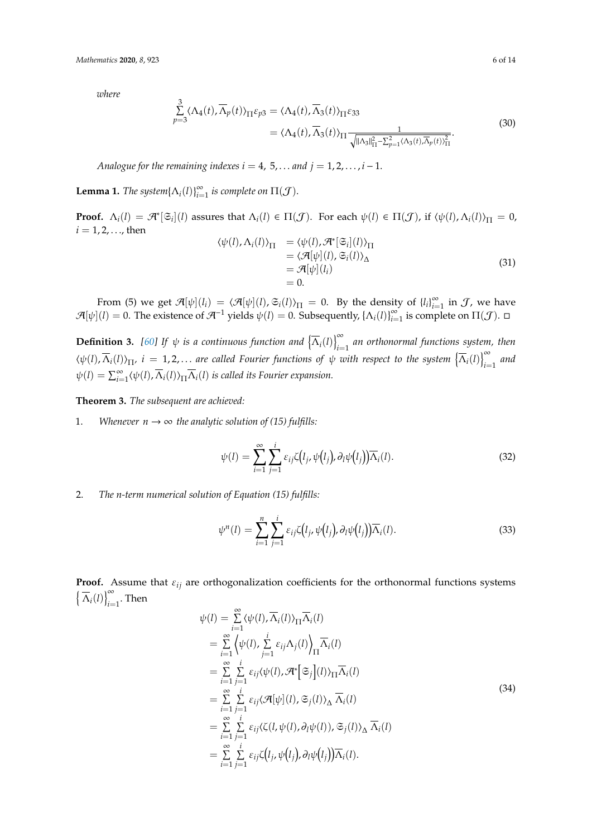*where*

$$
\sum_{p=3}^{3} \langle \Lambda_4(t), \overline{\Lambda}_p(t) \rangle_{\Pi} \varepsilon_{p3} = \langle \Lambda_4(t), \overline{\Lambda}_3(t) \rangle_{\Pi} \varepsilon_{33} \n= \langle \Lambda_4(t), \overline{\Lambda}_3(t) \rangle_{\Pi} \frac{1}{\sqrt{\|\Lambda_3\|_{\Pi}^2 - \sum_{p=1}^2 \langle \Lambda_3(t), \overline{\Lambda}_p(t) \rangle_{\Pi}^2}}.
$$
\n(30)

*Analogue for the remaining indexes i* = 4, 5, ... *and*  $j = 1, 2, \ldots, i - 1$ .

**Lemma 1.** *The system* $\{\Lambda_i(l)\}_{i=1}^{\infty}$  *is complete on*  $\Pi(\mathcal{J})$ *.* 

**Proof.**  $\Lambda_i(l) = \mathcal{A}^*[\mathfrak{S}_i](l)$  assures that  $\Lambda_i(l) \in \Pi(\mathcal{J})$ . For each  $\psi(l) \in \Pi(\mathcal{J})$ , if  $\langle \psi(l), \Lambda_i(l) \rangle_{\Pi} = 0$ ,  $i = 1, 2, ...,$  then

$$
\langle \psi(l), \Lambda_i(l) \rangle_{\Pi} = \langle \psi(l), \mathcal{A}^*[\mathfrak{S}_i](l) \rangle_{\Pi} \n= \langle \mathcal{A}[\psi](l), \mathfrak{S}_i(l) \rangle_{\Delta} \n= \mathcal{A}[\psi](l_i) \n= 0.
$$
\n(31)

From (5) we get  $\mathcal{A}[\psi](l_i) = \langle \mathcal{A}[\psi](l), \mathfrak{S}_i(l) \rangle_{\Pi} = 0$ . By the density of  ${l_i}_{i=1}^{\infty}$  in  $\mathcal{J}$ , we have  $\mathcal{A}[\psi](l) = 0$ . The existence of  $\mathcal{A}^{-1}$  yields  $\psi(l) = 0$ . Subsequently,  $\{\Lambda_i(l)\}_{i=1}^{\infty}$  is complete on  $\Pi(\mathcal{J})$ .  $\square$ 

**Definition 3.** [60] If  $\psi$  is a continuous function and  $\left\{\overline{\Lambda}_i(l)\right\}_{i=1}^{\infty}$  an orthonormal functions system, then  $\langle \psi(l), \overline{\Lambda}_i(l) \rangle_{\Pi}$ ,  $i = 1, 2, ...$  are called Fourier functions of  $\psi$  with respect to the system  $\left\{ \overline{\Lambda}_i(l) \right\}_{i=1}^{\infty}$  and  $\psi(l) = \sum_{i=1}^{\infty} \langle \psi(l), \overline{\Lambda}_i(l) \rangle_{\Pi} \overline{\Lambda}_i(l)$  *is called its Fourier expansion.* 

**Theorem 3.** *The subsequent are achieved:*

1. *Whenever*  $n \to \infty$  *the analytic solution of (15) fulfills:* 

$$
\psi(l) = \sum_{i=1}^{\infty} \sum_{j=1}^{i} \varepsilon_{ij} \zeta(l_j, \psi(l_j), \partial_l \psi(l_j)) \overline{\Lambda}_i(l).
$$
 (32)

2. *The n-term numerical solution of Equation (15) fulfills:*

$$
\psi^{n}(l) = \sum_{i=1}^{n} \sum_{j=1}^{i} \varepsilon_{ij} \zeta(l_{j}, \psi(l_{j}), \partial_{l} \psi(l_{j})) \overline{\Lambda}_{i}(l).
$$
\n(33)

**Proof.** Assume that  $\varepsilon_{ij}$  are orthogonalization coefficients for the orthonormal functions systems  $\left\{ \overline{\Lambda}_{i}(l) \right\}_{i=1}^{\infty}$ . Then

$$
\psi(l) = \sum_{i=1}^{\infty} \langle \psi(l), \overline{\Lambda}_i(l) \rangle_{\Pi} \overline{\Lambda}_i(l)
$$
  
\n
$$
= \sum_{i=1}^{\infty} \langle \psi(l), \sum_{j=1}^i \varepsilon_{ij} \Lambda_j(l) \rangle_{\Pi} \overline{\Lambda}_i(l)
$$
  
\n
$$
= \sum_{i=1}^{\infty} \sum_{j=1}^i \varepsilon_{ij} \langle \psi(l), \mathcal{H}^*[\mathfrak{S}_j](l) \rangle_{\Pi} \overline{\Lambda}_i(l)
$$
  
\n
$$
= \sum_{i=1}^{\infty} \sum_{j=1}^i \varepsilon_{ij} \langle \mathcal{A}[\psi](l), \mathfrak{S}_j(l) \rangle_{\Delta} \overline{\Lambda}_i(l)
$$
  
\n
$$
= \sum_{i=1}^{\infty} \sum_{j=1}^i \varepsilon_{ij} \langle \zeta(l, \psi(l), \partial_l \psi(l)), \mathfrak{S}_j(l) \rangle_{\Delta} \overline{\Lambda}_i(l)
$$
  
\n
$$
= \sum_{i=1}^{\infty} \sum_{j=1}^i \varepsilon_{ij} \zeta(l_j, \psi(l_j), \partial_l \psi(l_j)) \overline{\Lambda}_i(l).
$$
 (34)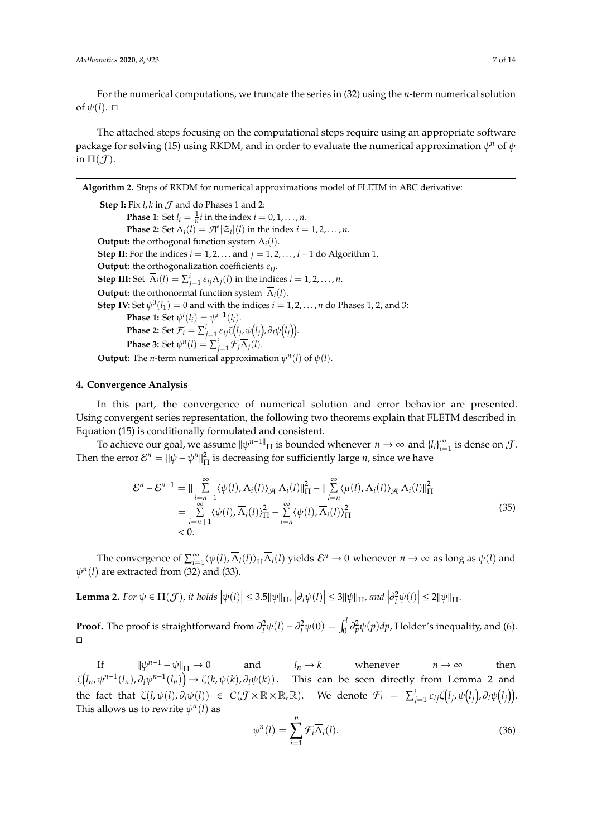For the numerical computations, we truncate the series in (32) using the *n*-term numerical solution of  $\psi(l)$ .  $\Box$ 

The attached steps focusing on the computational steps require using an appropriate software package for solving (15) using RKDM, and in order to evaluate the numerical approximation  $\psi^n$  of  $\psi$ in  $\Pi(\mathcal{J})$ .

**Algorithm 2.** Steps of RKDM for numerical approximations model of FLETM in ABC derivative:

**Step I:** Fix  $l$ ,  $k$  in  $J$  and do Phases 1 and 2: **Phase 1**: Set  $l_i = \frac{1}{n}i$  in the index  $i = 0, 1, ..., n$ . **Phase 2:** Set  $\Lambda_i(l) = \mathcal{A}^*[\mathfrak{S}_i](l)$  in the index  $i = 1, 2, ..., n$ . **Output:** the orthogonal function system  $\Lambda_i(l)$ . **Step II:** For the indices  $i = 1, 2, \dots$  and  $j = 1, 2, \dots, i - 1$  do Algorithm 1. **Output:** the orthogonalization coefficients  $\varepsilon_{ij}$ . **Step III:** Set  $\overline{\Lambda}_i(l) = \sum_{j=1}^i \varepsilon_{ij} \Lambda_j(l)$  in the indices  $i = 1, 2, ..., n$ . **Output:** the orthonormal function system  $\overline{\Lambda}_i(l)$ . **Step IV:** Set  $\psi^0(l_1) = 0$  and with the indices  $i = 1, 2, ..., n$  do Phases 1, 2, and 3: **Phase 1:** Set  $\psi^{i}(l_{i}) = \psi^{i-1}(l_{i}).$  $\mathbf{Phase\ 2:}\ \mathrm{Set}\ \mathcal{F}_i = \sum_{j=1}^i \varepsilon_{ij} \zeta\big(l_j,\psi\big(l_j\big),\partial_l\psi\big(l_j\big)\big).$ **Phase 3:** Set  $\psi^n(l) = \sum_{j=1}^i \mathcal{F}_j \overline{\Lambda}_j(l)$ . **Output:** The *n*-term numerical approximation  $\psi^n(l)$  of  $\psi(l)$ .

#### **4. Convergence Analysis**

In this part, the convergence of numerical solution and error behavior are presented. Using convergent series representation, the following two theorems explain that FLETM described in Equation (15) is conditionally formulated and consistent.

To achieve our goal, we assume  $\|\psi^{n-1}\|_{\Pi}$  is bounded whenever  $n \to \infty$  and  $\{l_i\}_{i=1}^{\infty}$  is dense on  $\mathcal{J}$ . Then the error  $\mathcal{E}^n = ||\psi - \psi^n||^2_{\Pi}$  is decreasing for sufficiently large *n*, since we have

$$
\mathcal{E}^{n} - \mathcal{E}^{n-1} = || \sum_{\substack{i=n+1 \ i=n+1}}^{\infty} \langle \psi(l), \overline{\Lambda}_{i}(l) \rangle_{\mathcal{A}} \overline{\Lambda}_{i}(l) ||_{\Pi}^{2} - || \sum_{i=n}^{\infty} \langle \mu(l), \overline{\Lambda}_{i}(l) \rangle_{\mathcal{A}} \overline{\Lambda}_{i}(l) ||_{\Pi}^{2}
$$
  
\n
$$
= \sum_{i=n+1}^{\infty} \langle \psi(l), \overline{\Lambda}_{i}(l) \rangle_{\Pi}^{2} - \sum_{i=n}^{\infty} \langle \psi(l), \overline{\Lambda}_{i}(l) \rangle_{\Pi}^{2}
$$
  
\n
$$
< 0.
$$
 (35)

The convergence of  $\sum_{i=1}^{\infty} \langle \psi(l), \overline{\Lambda}_i(l) \rangle_{\Pi} \overline{\Lambda}_i(l)$  yields  $\mathcal{E}^n \to 0$  whenever  $n \to \infty$  as long as  $\psi(l)$  and  $\psi^n(l)$  are extracted from (32) and (33).

Lemma 2. For  $\psi \in \Pi(\mathcal{J})$ , it holds  $|\psi(l)| \leq 3.5 ||\psi||_{\Pi}$ ,  $|\partial_l \psi(l)| \leq 3 ||\psi||_{\Pi}$ , and  $|\partial_l^2 \psi(l)| \leq 2 ||\psi||_{\Pi}$ .

**Proof.** The proof is straightforward from  $\partial_l^2 \psi(l) - \partial_l^2 \psi(0) = \int_0^l \partial_p^2 \psi(p) dp$ , Holder's inequality, and (6).  $\Box$ 

If  $\|\psi^{n-1} - \psi\|_{\Pi} \to 0$ and  $l_n \to k$  whenever  $n \to \infty$  then  $\zeta(l_n,\psi^{n-1}(l_n),\partial_l\psi^{n-1}(l_n)\big)\to \zeta(k,\psi(k),\partial_l\psi(k)).$  This can be seen directly from Lemma 2 and the fact that  $\zeta(l,\psi(l),\partial_l\psi(l)) \in C(\mathcal{J}\times\mathbb{R}\times\mathbb{R},\mathbb{R})$ . We denote  $\mathcal{F}_i = \sum_{j=1}^i \varepsilon_{ij}\zeta(l_j,\psi(l_j),\partial_l\psi(l_j))$ . This allows us to rewrite  $\psi^n(l)$  as

$$
\psi^n(l) = \sum_{i=1}^n \mathcal{F}_i \overline{\Lambda}_i(l). \tag{36}
$$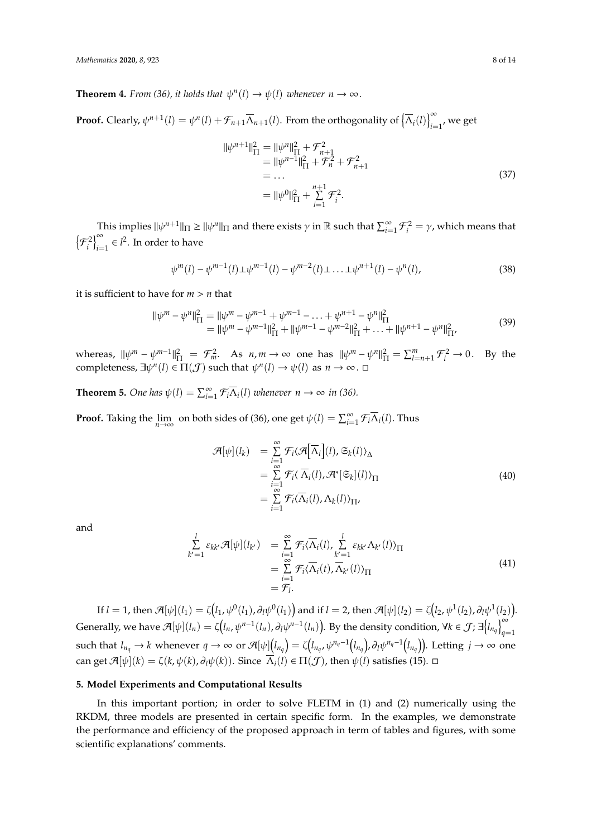**Theorem 4.** *From* (36), it holds that  $\psi^n(l) \to \psi(l)$  whenever  $n \to \infty$ .

**Proof.** Clearly,  $\psi^{n+1}(l) = \psi^n(l) + \mathcal{F}_{n+1} \overline{\Lambda}_{n+1}(l)$ . From the orthogonality of  $\left\{ \overline{\Lambda}_i(l) \right\}_{i=1}^{\infty}$ , we get

$$
\|\psi^{n+1}\|_{\Pi}^{2} = \|\psi^{n}\|_{\Pi}^{2} + \mathcal{F}_{n+1}^{2}
$$
  
\n
$$
= \|\psi^{n-1}\|_{\Pi}^{2} + \mathcal{F}_{n}^{2} + \mathcal{F}_{n+1}^{2}
$$
  
\n
$$
= \dots
$$
  
\n
$$
= \|\psi^{0}\|_{\Pi}^{2} + \sum_{i=1}^{n+1} \mathcal{F}_{i}^{2}.
$$
\n(37)

This implies  $\|\psi^{n+1}\|_{\Pi} \ge \|\psi^n\|_{\Pi}$  and there exists  $\gamma$  in  $\mathbb R$  such that  $\sum_{i=1}^{\infty} \mathcal{F}_i^2 = \gamma$ , which means that  $\left\{\mathcal{F}_{i}^{2}\right\}_{i=1}^{\infty} \in l^{2}$ . In order to have

$$
\psi^{m}(l) - \psi^{m-1}(l) \pm \psi^{m-1}(l) - \psi^{m-2}(l) \pm \dots \pm \psi^{n+1}(l) - \psi^{n}(l), \tag{38}
$$

it is sufficient to have for *m* > *n* that

$$
\|\psi^m - \psi^n\|_{\Pi}^2 = \|\psi^m - \psi^{m-1} + \psi^{m-1} - \dots + \psi^{n+1} - \psi^n\|_{\Pi}^2 = \|\psi^m - \psi^{m-1}\|_{\Pi}^2 + \|\psi^{m-1} - \psi^{m-2}\|_{\Pi}^2 + \dots + \|\psi^{n+1} - \psi^n\|_{\Pi'}^2
$$
(39)

whereas,  $\|\psi^m - \psi^{m-1}\|_{\Pi}^2 = \mathcal{F}_m^2$ . As  $n, m \to \infty$  one has  $\|\psi^m - \psi^n\|_{\Pi}^2 = \sum_{l=n+1}^m \mathcal{F}_i^2 \to 0$ . By the completeness,  $\exists \psi^n(l) \in \Pi(\mathcal{J})$  such that  $\psi^n(l) \to \psi(l)$  as  $n \to \infty$ .

**Theorem 5.** One has  $\psi(l) = \sum_{i=1}^{\infty} \mathcal{F}_i \overline{\Lambda}_i(l)$  whenever  $n \to \infty$  in (36).

**Proof.** Taking the  $\lim_{n\to\infty}$  on both sides of (36), one get  $\psi(l) = \sum_{i=1}^{\infty} \mathcal{F}_i \overline{\Lambda}_i(l)$ . Thus

$$
\mathcal{A}[\psi](l_k) = \sum_{i=1}^{\infty} \mathcal{F}_i \langle \mathcal{A}[\overline{\Lambda}_i](l), \mathfrak{S}_k(l) \rangle_{\Delta} \n= \sum_{i=1}^{\infty} \mathcal{F}_i \langle \overline{\Lambda}_i(l), \mathcal{A}^*[\mathfrak{S}_k](l) \rangle_{\Pi} \n= \sum_{i=1}^{\infty} \mathcal{F}_i \langle \overline{\Lambda}_i(l), \Lambda_k(l) \rangle_{\Pi},
$$
\n(40)

and

$$
\sum_{k'=1}^{l} \varepsilon_{kk'} \mathcal{A}[\psi](l_{k'}) = \sum_{i=1}^{\infty} \mathcal{F}_i \langle \overline{\Lambda}_i(l), \sum_{k'=1}^{l} \varepsilon_{kk'} \Lambda_{k'}(l) \rangle_{\Pi}
$$
\n
$$
= \sum_{i=1}^{\infty} \mathcal{F}_i \langle \overline{\Lambda}_i(t), \overline{\Lambda}_{k'}(l) \rangle_{\Pi}
$$
\n
$$
= \mathcal{F}_l.
$$
\n(41)

If  $l=1$ , then  $\mathcal{A}[\psi](l_1)=\zeta\big(l_1,\psi^0(l_1),\partial_l\psi^0(l_1)\big)$  and if  $l=2$ , then  $\mathcal{A}[\psi](l_2)=\zeta\big(l_2,\psi^1(l_2),\partial_l\psi^1(l_2)\big).$ Generally, we have  $\mathcal{A}[\psi](l_n) = \zeta(l_n, \psi^{n-1}(l_n), \partial_l \psi^{n-1}(l_n)).$  By the density condition,  $\forall k \in \mathcal{J}$ ;  $\exists {l_n}_q|_{q=1}^{\infty}$ such that  $l_{n_q}\to k$  whenever  $q\to\infty$  or  $\mathcal{A}[\psi](l_{n_q})=\zeta\big(l_{n_q},\psi^{n_q-1}\big(l_{n_q}\big),\partial_l\psi^{n_q-1}\big(l_{n_q}\big)\big)$ . Letting  $j\to\infty$  one can get  $\mathcal{A}[\psi](k) = \zeta(k, \psi(k), \partial_l \psi(k))$ . Since  $\overline{\Lambda}_i(l) \in \Pi(\mathcal{J})$ , then  $\psi(l)$  satisfies (15).  $\Box$ 

## **5. Model Experiments and Computational Results**

In this important portion; in order to solve FLETM in (1) and (2) numerically using the RKDM, three models are presented in certain specific form. In the examples, we demonstrate the performance and efficiency of the proposed approach in term of tables and figures, with some scientific explanations' comments.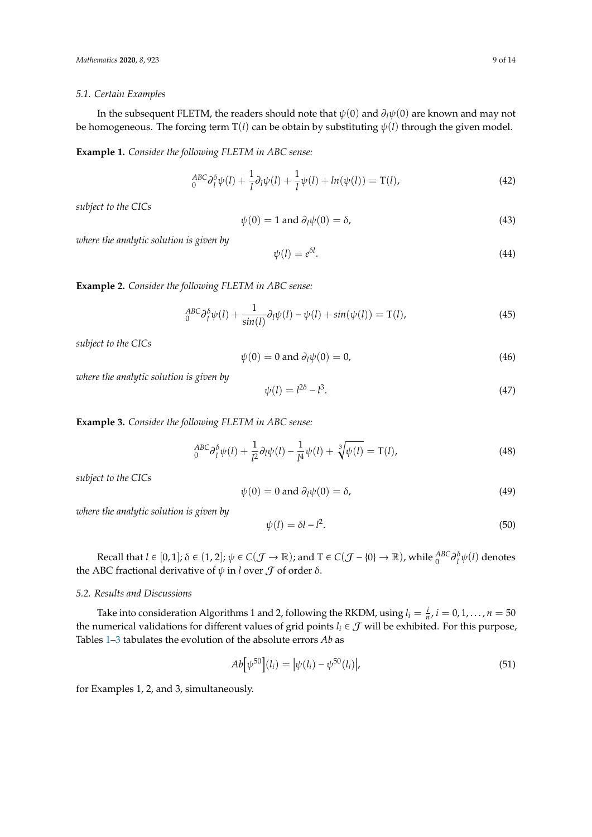#### *5.1. Certain Examples*

In the subsequent FLETM, the readers should note that ψ(0) and ∂*l*ψ(0) are known and may not be homogeneous. The forcing term  $T(l)$  can be obtain by substituting  $\psi(l)$  through the given model.

**Example 1.** *Consider the following FLETM in ABC sense:*

$$
{}_{0}^{ABC}\partial_{l}^{\delta}\psi(l) + \frac{1}{l}\partial_{l}\psi(l) + \frac{1}{l}\psi(l) + \ln(\psi(l)) = \mathcal{T}(l),\tag{42}
$$

*subject to the CICs*

$$
\psi(0) = 1 \text{ and } \partial_l \psi(0) = \delta,\tag{43}
$$

*where the analytic solution is given by*

$$
\psi(l) = e^{\delta l}.\tag{44}
$$

**Example 2.** *Consider the following FLETM in ABC sense:*

$$
{}_{0}^{ABC}\partial_{l}^{\delta}\psi(l) + \frac{1}{\sin(l)}\partial_{l}\psi(l) - \psi(l) + \sin(\psi(l)) = \mathcal{T}(l),\tag{45}
$$

*subject to the CICs*

$$
\psi(0) = 0 \text{ and } \partial_l \psi(0) = 0,
$$
\n(46)

*where the analytic solution is given by*

$$
\psi(l) = l^{2\delta} - l^3. \tag{47}
$$

**Example 3.** *Consider the following FLETM in ABC sense:*

$$
{}_{0}^{ABC}\partial_{l}^{5}\psi(l) + \frac{1}{l^{2}}\partial_{l}\psi(l) - \frac{1}{l^{4}}\psi(l) + \sqrt[3]{\psi(l)} = T(l),
$$
\n(48)

*subject to the CICs*

$$
\psi(0) = 0 \text{ and } \partial_l \psi(0) = \delta,\tag{49}
$$

*where the analytic solution is given by*

$$
\psi(l) = \delta l - l^2. \tag{50}
$$

Recall that  $l \in [0,1]$ ;  $\delta \in (1,2]$ ;  $\psi \in C(\mathcal{J} \to \mathbb{R})$ ; and  $T \in C(\mathcal{J} - \{0\} \to \mathbb{R})$ , while  ${}^{ABC}_{0} \partial_{l}^{\delta} \psi(l)$  denotes the ABC fractional derivative of  $\psi$  in *l* over  $\mathcal J$  of order  $\delta$ .

#### *5.2. Results and Discussions*

Take into consideration Algorithms 1 and 2, following the RKDM, using  $l_i = \frac{i}{n}$ ,  $i = 0, 1, ..., n = 50$ the numerical validations for different values of grid points  $l_i \in \mathcal{J}$  will be exhibited. For this purpose, Tables 1–3 tabulates the evolution of the absolute errors *Ab* as

$$
Ab[\psi^{50}](l_i) = |\psi(l_i) - \psi^{50}(l_i)|,\tag{51}
$$

for Examples 1, 2, and 3, simultaneously.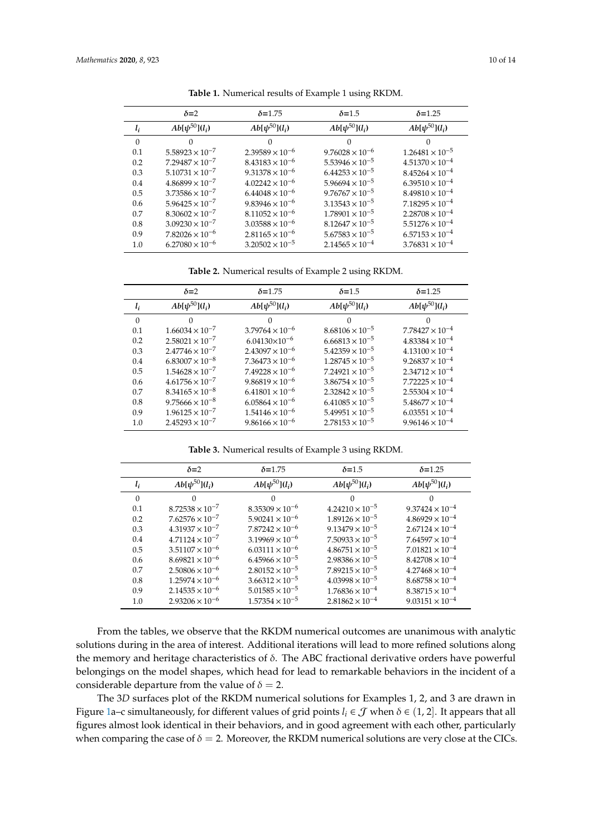|          | $\delta = 2$             | $\delta$ =1.75           | $\delta$ =1.5            | $\delta = 1.25$          |
|----------|--------------------------|--------------------------|--------------------------|--------------------------|
| $l_i$    | $Ab[\psi^{50}](l_i)$     | $Ab[\psi^{50}](l_i)$     | $Ab[\psi^{50}](l_i)$     | $Ab[\psi^{50}](l_i)$     |
| $\Omega$ |                          | 0                        | 0                        | ∩                        |
| 0.1      | $5.58923 \times 10^{-7}$ | $2.39589 \times 10^{-6}$ | $9.76028 \times 10^{-6}$ | $1.26481 \times 10^{-5}$ |
| 0.2      | $7.29487 \times 10^{-7}$ | $8.43183 \times 10^{-6}$ | $5.53946 \times 10^{-5}$ | $4.51370 \times 10^{-4}$ |
| 0.3      | $5.10731 \times 10^{-7}$ | $9.31378 \times 10^{-6}$ | $6.44253 \times 10^{-5}$ | $8.45264 \times 10^{-4}$ |
| 0.4      | $4.86899 \times 10^{-7}$ | $4.02242 \times 10^{-6}$ | $5.96694 \times 10^{-5}$ | $6.39510 \times 10^{-4}$ |
| 0.5      | $3.73586 \times 10^{-7}$ | $6.44048 \times 10^{-6}$ | $9.76767 \times 10^{-5}$ | $8.49810 \times 10^{-4}$ |
| 0.6      | $5.96425 \times 10^{-7}$ | $9.83946 \times 10^{-6}$ | $3.13543 \times 10^{-5}$ | $7.18295 \times 10^{-4}$ |
| 0.7      | $8.30602 \times 10^{-7}$ | $8.11052 \times 10^{-6}$ | $1.78901 \times 10^{-5}$ | $2.28708 \times 10^{-4}$ |
| 0.8      | $3.09230 \times 10^{-7}$ | $3.03588 \times 10^{-6}$ | $8.12647 \times 10^{-5}$ | $5.51276 \times 10^{-4}$ |
| 0.9      | $7.82026 \times 10^{-6}$ | $2.81165 \times 10^{-6}$ | $5.67583 \times 10^{-5}$ | $6.57153 \times 10^{-4}$ |
| 1.0      | $6.27080 \times 10^{-6}$ | $3.20502 \times 10^{-5}$ | $2.14565 \times 10^{-4}$ | $3.76831 \times 10^{-4}$ |
|          |                          |                          |                          |                          |

**Table 1.** Numerical results of Example 1 using RKDM.

**Table 2.** Numerical results of Example 2 using RKDM.

|          | $\delta = 2$             | $\delta = 1.75$          | $\delta$ =1.5            | $\delta$ =1.25           |
|----------|--------------------------|--------------------------|--------------------------|--------------------------|
| $l_i$    | $Ab[\psi^{50}](l_i)$     | $Ab[\psi^{50}](l_i)$     | $Ab[\psi^{50}](l_i)$     | $Ab[\psi^{50}](l_i)$     |
| $\Omega$ | 0                        | O                        |                          | 0                        |
| 0.1      | $1.66034 \times 10^{-7}$ | $3.79764 \times 10^{-6}$ | $8.68106 \times 10^{-5}$ | $7.78427 \times 10^{-4}$ |
| 0.2      | $2.58021 \times 10^{-7}$ | $6.04130\times10^{-6}$   | $6.66813 \times 10^{-5}$ | $4.83384 \times 10^{-4}$ |
| 0.3      | $2.47746 \times 10^{-7}$ | $2.43097 \times 10^{-6}$ | $5.42359 \times 10^{-5}$ | $4.13100 \times 10^{-4}$ |
| 0.4      | $6.83007 \times 10^{-8}$ | $7.36473 \times 10^{-6}$ | $1.28745 \times 10^{-5}$ | $9.26837 \times 10^{-4}$ |
| 0.5      | $1.54628 \times 10^{-7}$ | $7.49228 \times 10^{-6}$ | $7.24921 \times 10^{-5}$ | $2.34712 \times 10^{-4}$ |
| 0.6      | $4.61756 \times 10^{-7}$ | $9.86819 \times 10^{-6}$ | $3.86754 \times 10^{-5}$ | $7.72225 \times 10^{-4}$ |
| 0.7      | $8.34165 \times 10^{-8}$ | $6.41801 \times 10^{-6}$ | $2.32842 \times 10^{-5}$ | $2.55304 \times 10^{-4}$ |
| 0.8      | $9.75666 \times 10^{-8}$ | $6.05864 \times 10^{-6}$ | $6.41085 \times 10^{-5}$ | $5.48677 \times 10^{-4}$ |
| 0.9      | $1.96125 \times 10^{-7}$ | $1.54146 \times 10^{-6}$ | $5.49951 \times 10^{-5}$ | $6.03551 \times 10^{-4}$ |
| 1.0      | $2.45293 \times 10^{-7}$ | $9.86166 \times 10^{-6}$ | $2.78153 \times 10^{-5}$ | $9.96146 \times 10^{-4}$ |

**Table 3.** Numerical results of Example 3 using RKDM.

|          | $\delta = 2$             | $\delta$ =1.75           | $\delta$ =1.5            | $\delta = 1.25$          |
|----------|--------------------------|--------------------------|--------------------------|--------------------------|
| $l_i$    | $Ab[\psi^{50}](l_i)$     | $Ab[\psi^{50}](l_i)$     | $Ab[\psi^{50}](l_i)$     | $Ab[\psi^{50}](l_i)$     |
| $\Omega$ |                          | 0                        |                          |                          |
| 0.1      | $8.72538 \times 10^{-7}$ | $8.35309 \times 10^{-6}$ | $4.24210 \times 10^{-5}$ | $9.37424 \times 10^{-4}$ |
| 0.2      | $7.62576 \times 10^{-7}$ | $5.90241 \times 10^{-6}$ | $1.89126 \times 10^{-5}$ | $4.86929 \times 10^{-4}$ |
| 0.3      | $4.31937 \times 10^{-7}$ | $7.87242 \times 10^{-6}$ | $9.13479 \times 10^{-5}$ | $2.67124 \times 10^{-4}$ |
| 0.4      | $4.71124 \times 10^{-7}$ | $3.19969 \times 10^{-6}$ | $7.50933 \times 10^{-5}$ | $7.64597 \times 10^{-4}$ |
| 0.5      | $3.51107 \times 10^{-6}$ | $6.03111 \times 10^{-6}$ | $4.86751 \times 10^{-5}$ | $7.01821 \times 10^{-4}$ |
| 0.6      | $8.69821 \times 10^{-6}$ | $6.45966 \times 10^{-5}$ | $2.98386 \times 10^{-5}$ | $8.42708 \times 10^{-4}$ |
| 0.7      | $2.50806 \times 10^{-6}$ | $2.80152 \times 10^{-5}$ | $7.89215 \times 10^{-5}$ | $4.27468 \times 10^{-4}$ |
| 0.8      | $1.25974 \times 10^{-6}$ | $3.66312 \times 10^{-5}$ | $4.03998 \times 10^{-5}$ | $8.68758 \times 10^{-4}$ |
| 0.9      | $2.14535 \times 10^{-6}$ | $5.01585 \times 10^{-5}$ | $1.76836 \times 10^{-4}$ | $8.38715 \times 10^{-4}$ |
| $1.0\,$  | $2.93206 \times 10^{-6}$ | $1.57354 \times 10^{-5}$ | $2.81862 \times 10^{-4}$ | $9.03151 \times 10^{-4}$ |
|          |                          |                          |                          |                          |

From the tables, we observe that the RKDM numerical outcomes are unanimous with analytic solutions during in the area of interest. Additional iterations will lead to more refined solutions along the memory and heritage characteristics of  $\delta$ . The ABC fractional derivative orders have powerful belongings on the model shapes, which head for lead to remarkable behaviors in the incident of a considerable departure from the value of  $\delta = 2$ .

The 3*D* surfaces plot of the RKDM numerical solutions for Examples 1, 2, and 3 are drawn in Figure 1a–c simultaneously, for different values of grid points  $l_i \in \mathcal{J}$  when  $\delta \in (1, 2]$ . It appears that all figures almost look identical in their behaviors, and in good agreement with each other, particularly when comparing the case of  $\delta = 2$ . Moreover, the RKDM numerical solutions are very close at the CICs.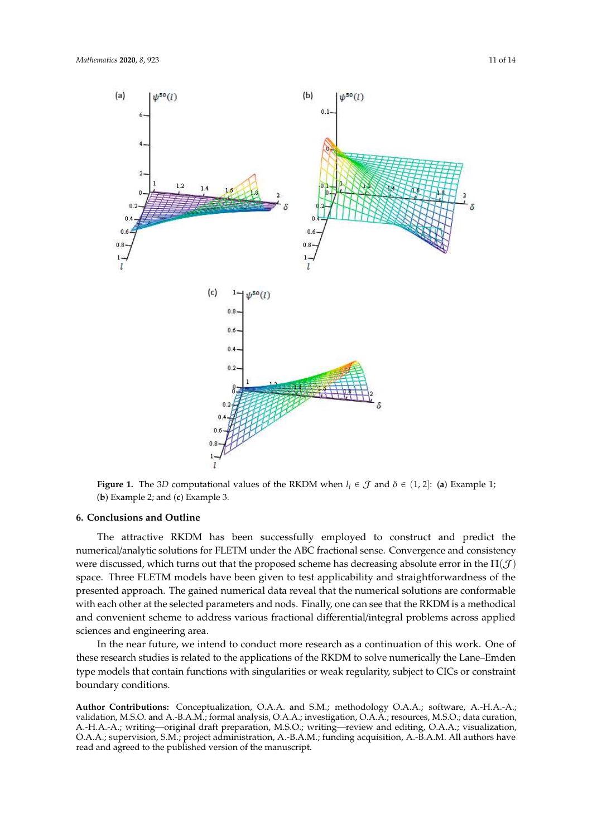

**Figure 1.** The 3*D* computational values of the RKDM when  $l_i \in \mathcal{J}$  and  $\delta \in (1, 2]$ : (**a**) Example 1; (**b**) Example 2; and (**c**) Example 3.

### **6. Conclusions and Outline**

space. Three FLETM models have been given to test applicability and straightforwardness of the The attractive RKDM has been successfully employed to construct and predict the numerical/analytic solutions for FLETM under the ABC fractional sense. Convergence and consistency were discussed, which turns out that the proposed scheme has decreasing absolute error in the  $\Pi(\mathcal{J})$ presented approach. The gained numerical data reveal that the numerical solutions are conformable with each other at the selected parameters and nods. Finally, one can see that the RKDM is a methodical and convenient scheme to address various fractional differential/integral problems across applied sciences and engineering area.

In the near future, we intend to conduct more research as a continuation of this work. One of these research studies is related to the applications of the RKDM to solve numerically the Lane–Emden type models that contain functions with singularities or weak regularity, subject to CICs or constraint boundary conditions.

**Author Contributions:** Conceptualization, O.A.A. and S.M.; methodology O.A.A.; software, A.-H.A.-A.; validation, M.S.O. and A.-B.A.M.; formal analysis, O.A.A.; investigation, O.A.A.; resources, M.S.O.; data curation, A.-H.A.-A.; writing—original draft preparation, M.S.O.; writing—review and editing, O.A.A.; visualization, O.A.A.; supervision, S.M.; project administration, A.-B.A.M.; funding acquisition, A.-B.A.M. All authors have read and agreed to the published version of the manuscript.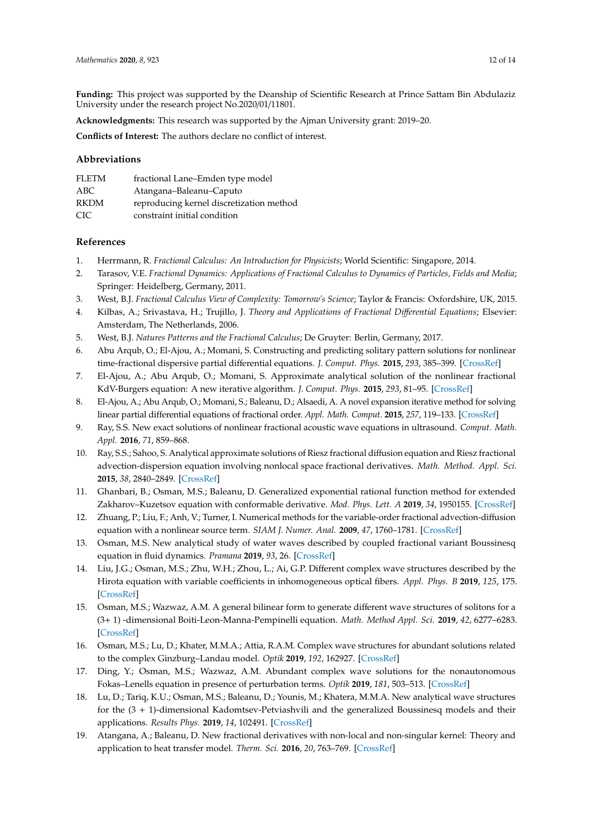**Funding:** This project was supported by the Deanship of Scientific Research at Prince Sattam Bin Abdulaziz University under the research project No.2020/01/11801.

**Acknowledgments:** This research was supported by the Ajman University grant: 2019–20.

**Conflicts of Interest:** The authors declare no conflict of interest.

## **Abbreviations**

| FLETM       | fractional Lane-Emden type model         |
|-------------|------------------------------------------|
| ABC         | Atangana-Baleanu-Caputo                  |
| <b>RKDM</b> | reproducing kernel discretization method |
| CIC.        | constraint initial condition             |

## **References**

- 1. Herrmann, R. *Fractional Calculus: An Introduction for Physicists*; World Scientific: Singapore, 2014.
- 2. Tarasov, V.E. *Fractional Dynamics: Applications of Fractional Calculus to Dynamics of Particles, Fields and Media*; Springer: Heidelberg, Germany, 2011.
- 3. West, B.J. *Fractional Calculus View of Complexity: Tomorrow's Science*; Taylor & Francis: Oxfordshire, UK, 2015.
- 4. Kilbas, A.; Srivastava, H.; Trujillo, J. *Theory and Applications of Fractional Di*ff*erential Equations*; Elsevier: Amsterdam, The Netherlands, 2006.
- 5. West, B.J. *Natures Patterns and the Fractional Calculus*; De Gruyter: Berlin, Germany, 2017.
- 6. Abu Arqub, O.; El-Ajou, A.; Momani, S. Constructing and predicting solitary pattern solutions for nonlinear time-fractional dispersive partial differential equations. *J. Comput. Phys.* **2015**, *293*, 385–399. [CrossRef]
- 7. El-Ajou, A.; Abu Arqub, O.; Momani, S. Approximate analytical solution of the nonlinear fractional KdV-Burgers equation: A new iterative algorithm. *J. Comput. Phys.* **2015**, *293*, 81–95. [CrossRef]
- 8. El-Ajou, A.; Abu Arqub, O.; Momani, S.; Baleanu, D.; Alsaedi, A. A novel expansion iterative method for solving linear partial differential equations of fractional order. *Appl. Math. Comput.* **2015**, *257*, 119–133. [CrossRef]
- 9. Ray, S.S. New exact solutions of nonlinear fractional acoustic wave equations in ultrasound. *Comput. Math. Appl.* **2016**, *71*, 859–868.
- 10. Ray, S.S.; Sahoo, S. Analytical approximate solutions of Riesz fractional diffusion equation and Riesz fractional advection-dispersion equation involving nonlocal space fractional derivatives. *Math. Method. Appl. Sci.* **2015**, *38*, 2840–2849. [CrossRef]
- 11. Ghanbari, B.; Osman, M.S.; Baleanu, D. Generalized exponential rational function method for extended Zakharov–Kuzetsov equation with conformable derivative. *Mod. Phys. Lett. A* **2019**, *34*, 1950155. [CrossRef]
- 12. Zhuang, P.; Liu, F.; Anh, V.; Turner, I. Numerical methods for the variable-order fractional advection-diffusion equation with a nonlinear source term. *SIAM J. Numer. Anal.* **2009**, *47*, 1760–1781. [CrossRef]
- 13. Osman, M.S. New analytical study of water waves described by coupled fractional variant Boussinesq equation in fluid dynamics. *Pramana* **2019**, *93*, 26. [CrossRef]
- 14. Liu, J.G.; Osman, M.S.; Zhu, W.H.; Zhou, L.; Ai, G.P. Different complex wave structures described by the Hirota equation with variable coefficients in inhomogeneous optical fibers. *Appl. Phys. B* **2019**, *125*, 175. [CrossRef]
- 15. Osman, M.S.; Wazwaz, A.M. A general bilinear form to generate different wave structures of solitons for a (3+ 1) -dimensional Boiti-Leon-Manna-Pempinelli equation. *Math. Method Appl. Sci.* **2019**, *42*, 6277–6283. [CrossRef]
- 16. Osman, M.S.; Lu, D.; Khater, M.M.A.; Attia, R.A.M. Complex wave structures for abundant solutions related to the complex Ginzburg–Landau model. *Optik* **2019**, *192*, 162927. [CrossRef]
- 17. Ding, Y.; Osman, M.S.; Wazwaz, A.M. Abundant complex wave solutions for the nonautonomous Fokas–Lenells equation in presence of perturbation terms. *Optik* **2019**, *181*, 503–513. [CrossRef]
- 18. Lu, D.; Tariq, K.U.; Osman, M.S.; Baleanu, D.; Younis, M.; Khatera, M.M.A. New analytical wave structures for the (3 + 1)-dimensional Kadomtsev-Petviashvili and the generalized Boussinesq models and their applications. *Results Phys.* **2019**, *14*, 102491. [CrossRef]
- 19. Atangana, A.; Baleanu, D. New fractional derivatives with non-local and non-singular kernel: Theory and application to heat transfer model. *Therm. Sci.* **2016**, *20*, 763–769. [CrossRef]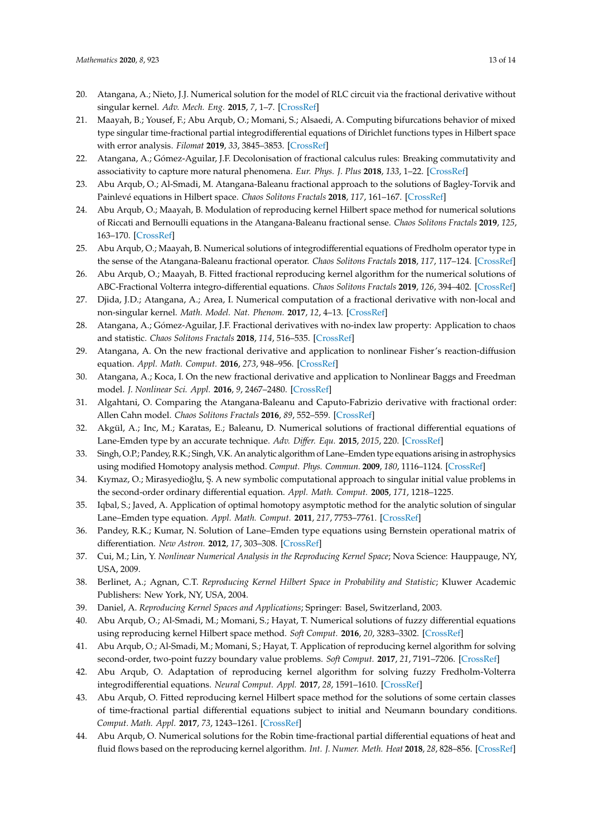- 20. Atangana, A.; Nieto, J.J. Numerical solution for the model of RLC circuit via the fractional derivative without singular kernel. *Adv. Mech. Eng.* **2015**, *7*, 1–7. [CrossRef]
- 21. Maayah, B.; Yousef, F.; Abu Arqub, O.; Momani, S.; Alsaedi, A. Computing bifurcations behavior of mixed type singular time-fractional partial integrodifferential equations of Dirichlet functions types in Hilbert space with error analysis. *Filomat* **2019**, *33*, 3845–3853. [CrossRef]
- 22. Atangana, A.; Gómez-Aguilar, J.F. Decolonisation of fractional calculus rules: Breaking commutativity and associativity to capture more natural phenomena. *Eur. Phys. J. Plus* **2018**, *133*, 1–22. [CrossRef]
- 23. Abu Arqub, O.; Al-Smadi, M. Atangana-Baleanu fractional approach to the solutions of Bagley-Torvik and Painlevé equations in Hilbert space. *Chaos Solitons Fractals* **2018**, *117*, 161–167. [CrossRef]
- 24. Abu Arqub, O.; Maayah, B. Modulation of reproducing kernel Hilbert space method for numerical solutions of Riccati and Bernoulli equations in the Atangana-Baleanu fractional sense. *Chaos Solitons Fractals* **2019**, *125*, 163–170. [CrossRef]
- 25. Abu Arqub, O.; Maayah, B. Numerical solutions of integrodifferential equations of Fredholm operator type in the sense of the Atangana-Baleanu fractional operator. *Chaos Solitons Fractals* **2018**, *117*, 117–124. [CrossRef]
- 26. Abu Arqub, O.; Maayah, B. Fitted fractional reproducing kernel algorithm for the numerical solutions of ABC-Fractional Volterra integro-differential equations. *Chaos Solitons Fractals* **2019**, *126*, 394–402. [CrossRef]
- 27. Djida, J.D.; Atangana, A.; Area, I. Numerical computation of a fractional derivative with non-local and non-singular kernel. *Math. Model. Nat. Phenom.* **2017**, *12*, 4–13. [CrossRef]
- 28. Atangana, A.; Gómez-Aguilar, J.F. Fractional derivatives with no-index law property: Application to chaos and statistic. *Chaos Solitons Fractals* **2018**, *114*, 516–535. [CrossRef]
- 29. Atangana, A. On the new fractional derivative and application to nonlinear Fisher's reaction-diffusion equation. *Appl. Math. Comput.* **2016**, *273*, 948–956. [CrossRef]
- 30. Atangana, A.; Koca, I. On the new fractional derivative and application to Nonlinear Baggs and Freedman model. *J. Nonlinear Sci. Appl.* **2016**, *9*, 2467–2480. [CrossRef]
- 31. Algahtani, O. Comparing the Atangana-Baleanu and Caputo-Fabrizio derivative with fractional order: Allen Cahn model. *Chaos Solitons Fractals* **2016**, *89*, 552–559. [CrossRef]
- 32. Akgül, A.; Inc, M.; Karatas, E.; Baleanu, D. Numerical solutions of fractional differential equations of Lane-Emden type by an accurate technique. *Adv. Di*ff*er. Equ.* **2015**, *2015*, 220. [CrossRef]
- 33. Singh, O.P.; Pandey, R.K.; Singh, V.K. An analytic algorithm of Lane–Emden type equations arising in astrophysics using modified Homotopy analysis method. *Comput. Phys. Commun.* **2009**, *180*, 1116–1124. [CrossRef]
- 34. Kıymaz, O.; Mirasyedioğlu, Ş. A new symbolic computational approach to singular initial value problems in the second-order ordinary differential equation. *Appl. Math. Comput.* **2005**, *171*, 1218–1225.
- 35. Iqbal, S.; Javed, A. Application of optimal homotopy asymptotic method for the analytic solution of singular Lane–Emden type equation. *Appl. Math. Comput.* **2011**, *217*, 7753–7761. [CrossRef]
- 36. Pandey, R.K.; Kumar, N. Solution of Lane–Emden type equations using Bernstein operational matrix of differentiation. *New Astron.* **2012**, *17*, 303–308. [CrossRef]
- 37. Cui, M.; Lin, Y. *Nonlinear Numerical Analysis in the Reproducing Kernel Space*; Nova Science: Hauppauge, NY, USA, 2009.
- 38. Berlinet, A.; Agnan, C.T. *Reproducing Kernel Hilbert Space in Probability and Statistic*; Kluwer Academic Publishers: New York, NY, USA, 2004.
- 39. Daniel, A. *Reproducing Kernel Spaces and Applications*; Springer: Basel, Switzerland, 2003.
- 40. Abu Arqub, O.; Al-Smadi, M.; Momani, S.; Hayat, T. Numerical solutions of fuzzy differential equations using reproducing kernel Hilbert space method. *Soft Comput.* **2016**, *20*, 3283–3302. [CrossRef]
- 41. Abu Arqub, O.; Al-Smadi, M.; Momani, S.; Hayat, T. Application of reproducing kernel algorithm for solving second-order, two-point fuzzy boundary value problems. *Soft Comput.* **2017**, *21*, 7191–7206. [CrossRef]
- 42. Abu Arqub, O. Adaptation of reproducing kernel algorithm for solving fuzzy Fredholm-Volterra integrodifferential equations. *Neural Comput. Appl.* **2017**, *28*, 1591–1610. [CrossRef]
- 43. Abu Arqub, O. Fitted reproducing kernel Hilbert space method for the solutions of some certain classes of time-fractional partial differential equations subject to initial and Neumann boundary conditions. *Comput. Math. Appl.* **2017**, *73*, 1243–1261. [CrossRef]
- 44. Abu Arqub, O. Numerical solutions for the Robin time-fractional partial differential equations of heat and fluid flows based on the reproducing kernel algorithm. *Int. J. Numer. Meth. Heat* **2018**, *28*, 828–856. [CrossRef]